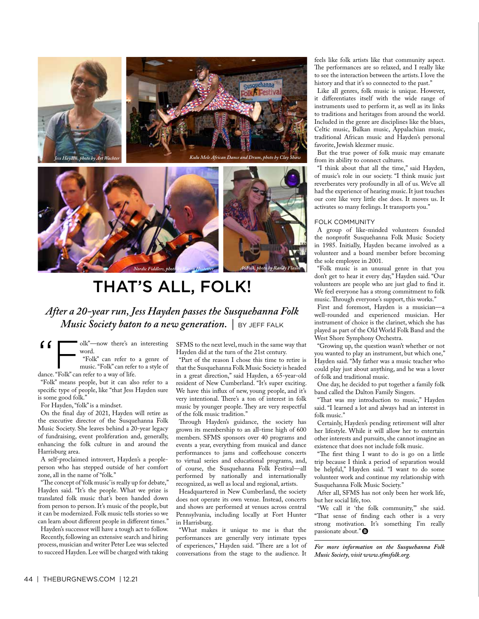



# THAT'S ALL, FOLK!

*After a 20-year run, Jess Hayden passes the Susquehanna Folk Music Society baton to a new generation. |* BY JEFF FALK

"Folk"—now there's an interesting word. "Folk" can refer to a genre of music. "Folk" can refer to a style of

dance. "Folk" can refer to a way of life. "Folk" means people, but it can also refer to a specifc type of people, like "that Jess Hayden sure

is some good folk." For Hayden, "folk" is a mindset.

On the fnal day of 2021, Hayden will retire as the executive director of the Susquehanna Folk Music Society. She leaves behind a 20-year legacy of fundraising, event proliferation and, generally, enhancing the folk culture in and around the Harrisburg area.

A self-proclaimed introvert, Hayden's a peopleperson who has stepped outside of her comfort zone, all in the name of "folk."

"The concept of 'folk music' is really up for debate," Hayden said. "It's the people. What we prize is translated folk music that's been handed down from person to person. It's music of the people, but it can be modernized. Folk music tells stories so we can learn about diferent people in diferent times."

Hayden's successor will have a tough act to follow. Recently, following an extensive search and hiring process, musician and writer Peter Lee was selected to succeed Hayden. Lee will be charged with taking SFMS to the next level, much in the same way that Hayden did at the turn of the 21st century.

"Part of the reason I chose this time to retire is that the Susquehanna Folk Music Society is headed in a great direction," said Hayden, a 65-year-old resident of New Cumberland. "It's super exciting. We have this infux of new, young people, and it's very intentional. There's a ton of interest in folk music by younger people. They are very respectful of the folk music tradition."

Through Hayden's guidance, the society has grown its membership to an all-time high of 600 members. SFMS sponsors over 40 programs and events a year, everything from musical and dance performances to jams and cofeehouse concerts to virtual series and educational programs, and, of course, the Susquehanna Folk Festival—all performed by nationally and internationally recognized, as well as local and regional, artists.

Headquartered in New Cumberland, the society does not operate its own venue. Instead, concerts and shows are performed at venues across central Pennsylvania, including locally at Fort Hunter in Harrisburg.

"What makes it unique to me is that the performances are generally very intimate types of experiences," Hayden said. "There are a lot of conversations from the stage to the audience. It feels like folk artists like that community aspect. The performances are so relaxed, and I really like to see the interaction between the artists. I love the history and that it's so connected to the past."

Like all genres, folk music is unique. However, it diferentiates itself with the wide range of instruments used to perform it, as well as its links to traditions and heritages from around the world. Included in the genre are disciplines like the blues, Celtic music, Balkan music, Appalachian music, traditional African music and Hayden's personal favorite, Jewish klezmer music.

But the true power of folk music may emanate from its ability to connect cultures.

"I think about that all the time," said Hayden, of music's role in our society. "I think music just reverberates very profoundly in all of us. We've all had the experience of hearing music. It just touches our core like very little else does. It moves us. It activates so many feelings. It transports you."

#### FOLK COMMUNITY

A group of like-minded volunteers founded the nonproft Susquehanna Folk Music Society in 1985. Initially, Hayden became involved as a volunteer and a board member before becoming the sole employee in 2001.

"Folk music is an unusual genre in that you don't get to hear it every day," Hayden said. "Our volunteers are people who are just glad to fnd it. We feel everyone has a strong commitment to folk music. Through everyone's support, this works."

First and foremost, Hayden is a musician—a well-rounded and experienced musician. Her instrument of choice is the clarinet, which she has played as part of the Old World Folk Band and the West Shore Symphony Orchestra.

"Growing up, the question wasn't whether or not you wanted to play an instrument, but which one," Hayden said. "My father was a music teacher who could play just about anything, and he was a lover of folk and traditional music.

One day, he decided to put together a family folk band called the Dalton Family Singers.

"That was my introduction to music," Hayden said. "I learned a lot and always had an interest in folk music."

Certainly, Hayden's pending retirement will alter her lifestyle. While it will allow her to entertain other interests and pursuits, she cannot imagine an existence that does not include folk music.

"The first thing I want to do is go on a little trip because I think a period of separation would be helpful," Hayden said. "I want to do some volunteer work and continue my relationship with Susquehanna Folk Music Society."

After all, SFMS has not only been her work life, but her social life, too.

"We call it 'the folk community,'" she said. "That sense of finding each other is a very strong motivation. It's something I'm really passionate about."<sup>O</sup>

*For more information on the Susquehanna Folk Music Society, visit www.sfmsfolk.org.*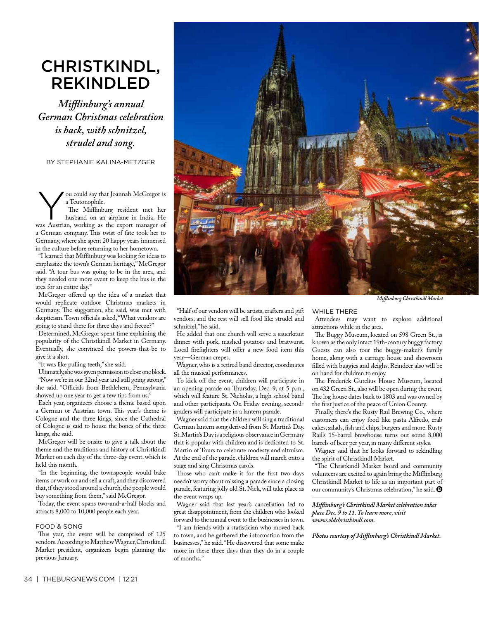### CHRISTKINDL, REKINDLED

*Mifinburg's annual German Christmas celebration is back, with schnitzel, strudel and song.*

BY STEPHANIE KALINA-METZGER

ou could say that Joannah McGregor is a Teutonophile.

The Mifflinburg resident met her husband on an airplane in India. He was Austrian, working as the export manager of a German company. This twist of fate took her to Germany, where she spent 20 happy years immersed in the culture before returning to her hometown.

"I learned that Mifinburg was looking for ideas to emphasize the town's German heritage," McGregor said. "A tour bus was going to be in the area, and they needed one more event to keep the bus in the area for an entire day."

McGregor ofered up the idea of a market that would replicate outdoor Christmas markets in Germany. The suggestion, she said, was met with skepticism. Town officials asked, "What vendors are going to stand there for three days and freeze?"

Determined, McGregor spent time explaining the popularity of the Christkindl Market in Germany. Eventually, she convinced the powers-that-be to give it a shot.

"It was like pulling teeth," she said.

Ultimately, she was given permission to close one block. "Now we're in our 32nd year and still going strong," she said. "Officials from Bethlehem, Pennsylvania showed up one year to get a few tips from us."

Each year, organizers choose a theme based upon a German or Austrian town. This year's theme is Cologne and the three kings, since the Cathedral of Cologne is said to house the bones of the three kings, she said.

McGregor will be onsite to give a talk about the theme and the traditions and history of Christkindl Market on each day of the three-day event, which is held this month.

"In the beginning, the townspeople would bake items or work on and sell a craft, and they discovered that, if they stood around a church, the people would buy something from them," said McGregor.

Today, the event spans two-and-a-half blocks and attracts 8,000 to 10,000 people each year.

#### FOOD & SONG

This year, the event will be comprised of 125 vendors. According to Matthew Wagner, Christkindl Market president, organizers begin planning the previous January.



*Mifinburg Christkindl Market*

#### "Half of our vendors will be artists, crafters and gift vendors, and the rest will sell food like strudel and schnitzel," he said.

He added that one church will serve a sauerkraut dinner with pork, mashed potatoes and bratwurst. Local firefighters will offer a new food item this year—German crepes.

Wagner, who is a retired band director, coordinates all the musical performances.

To kick off the event, children will participate in an opening parade on Thursday, Dec. 9, at 5 p.m., which will feature St. Nicholas, a high school band and other participants. On Friday evening, secondgraders will participate in a lantern parade.

Wagner said that the children will sing a traditional German lantern song derived from St. Martin's Day. St. Martin's Day is a religious observance in Germany that is popular with children and is dedicated to St. Martin of Tours to celebrate modesty and altruism. At the end of the parade, children will march onto a stage and sing Christmas carols.

Those who can't make it for the first two days needn't worry about missing a parade since a closing parade, featuring jolly old St. Nick, will take place as the event wraps up.

Wagner said that last year's cancellation led to great disappointment, from the children who looked forward to the annual event to the businesses in town.

"I am friends with a statistician who moved back to town, and he gathered the information from the businesses," he said. "He discovered that some make more in these three days than they do in a couple of months."

#### WHILE THERE

Attendees may want to explore additional attractions while in the area.

The Buggy Museum, located on 598 Green St., is known as the only intact 19th-century buggy factory. Guests can also tour the buggy-maker's family home, along with a carriage house and showroom flled with buggies and sleighs. Reindeer also will be on hand for children to enjoy.

The Frederick Gutelius House Museum, located on 432 Green St., also will be open during the event. The log house dates back to 1803 and was owned by the frst justice of the peace of Union County.

Finally, there's the Rusty Rail Brewing Co., where customers can enjoy food like pasta Alfredo, crab cakes, salads, fsh and chips, burgers and more. Rusty Rail's 15-barrel brewhouse turns out some 8,000 barrels of beer per year, in many diferent styles.

Wagner said that he looks forward to rekindling the spirit of Christkindl Market.

"The Christkindl Market board and community volunteers are excited to again bring the Mifinburg Christkindl Market to life as an important part of our community's Christmas celebration," he said.

*Mifinburg's Christkindl Market celebration takes place Dec. 9 to 11. To learn more, visit www.oldchristkindl.com.* 

*Photos courtesy of Mifinburg's Christkindl Market.*